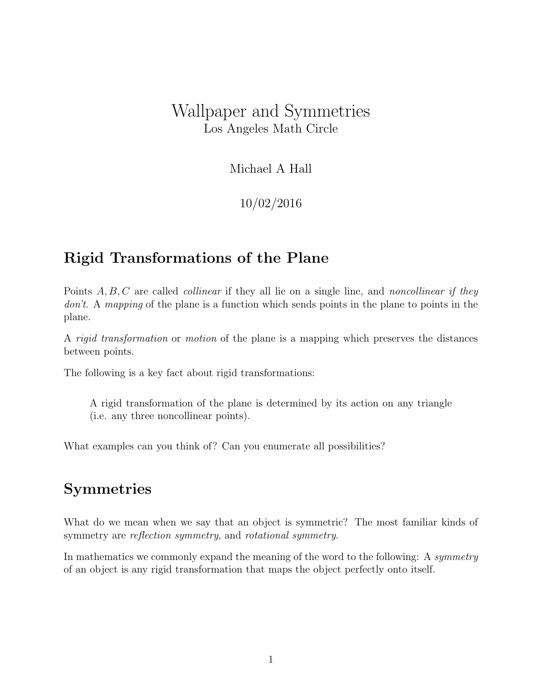# Wallpaper and Symmetries Los Angeles Math Circle

#### Michael A Hall

#### 10/02/2016

#### Rigid Transformations of the Plane

Points  $A, B, C$  are called *collinear* if they all lie on a single line, and *noncollinear if they* don't. A mapping of the plane is a function which sends points in the plane to points in the plane.

A rigid transformation or motion of the plane is a mapping which preserves the distances between points.

The following is a key fact about rigid transformations:

A rigid transformation of the plane is determined by its action on any triangle (i.e. any three noncollinear points).

What examples can you think of? Can you enumerate all possibilities?

#### Symmetries

What do we mean when we say that an object is symmetric? The most familiar kinds of symmetry are *reflection symmetry*, and *rotational symmetry*.

In mathematics we commonly expand the meaning of the word to the following: A symmetry of an object is any rigid transformation that maps the object perfectly onto itself.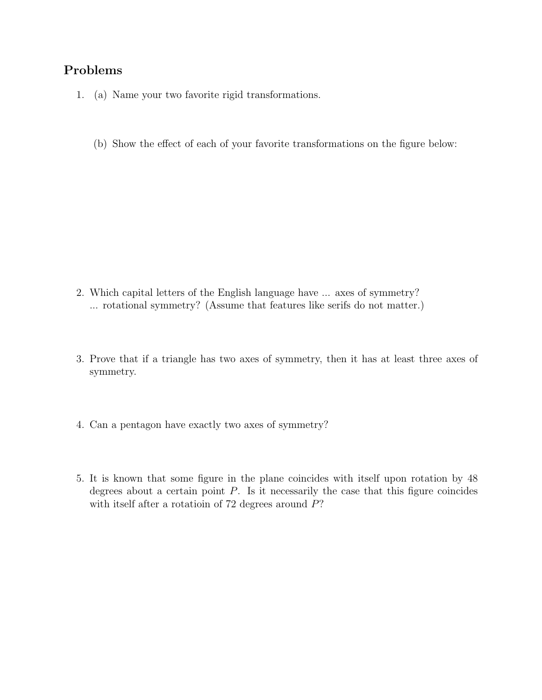#### Problems

- 1. (a) Name your two favorite rigid transformations.
	- (b) Show the effect of each of your favorite transformations on the figure below:

- 2. Which capital letters of the English language have ... axes of symmetry? ... rotational symmetry? (Assume that features like serifs do not matter.)
- 3. Prove that if a triangle has two axes of symmetry, then it has at least three axes of symmetry.
- 4. Can a pentagon have exactly two axes of symmetry?
- 5. It is known that some figure in the plane coincides with itself upon rotation by 48 degrees about a certain point  $P$ . Is it necessarily the case that this figure coincides with itself after a rotatioin of 72 degrees around  $P$ ?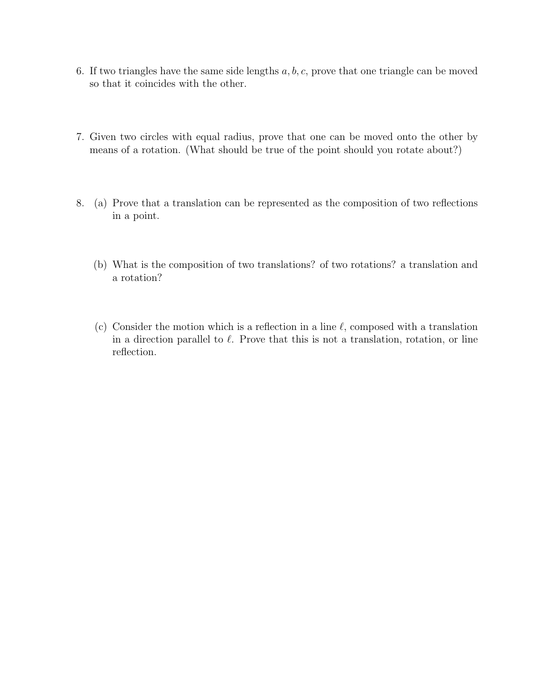- 6. If two triangles have the same side lengths  $a, b, c$ , prove that one triangle can be moved so that it coincides with the other.
- 7. Given two circles with equal radius, prove that one can be moved onto the other by means of a rotation. (What should be true of the point should you rotate about?)
- 8. (a) Prove that a translation can be represented as the composition of two reflections in a point.
	- (b) What is the composition of two translations? of two rotations? a translation and a rotation?
	- (c) Consider the motion which is a reflection in a line  $\ell$ , composed with a translation in a direction parallel to  $\ell$ . Prove that this is not a translation, rotation, or line reflection.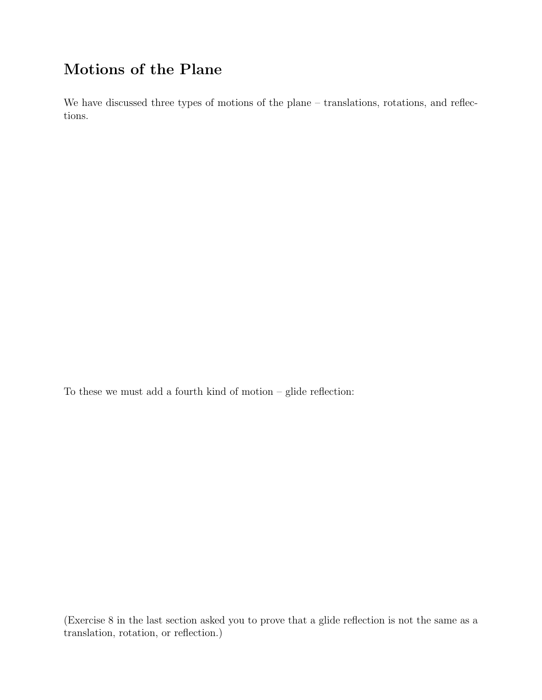# Motions of the Plane

We have discussed three types of motions of the plane – translations, rotations, and reflections.

To these we must add a fourth kind of motion – glide reflection:  $\;$ 

(Exercise 8 in the last section asked you to prove that a glide reflection is not the same as a translation, rotation, or reflection.)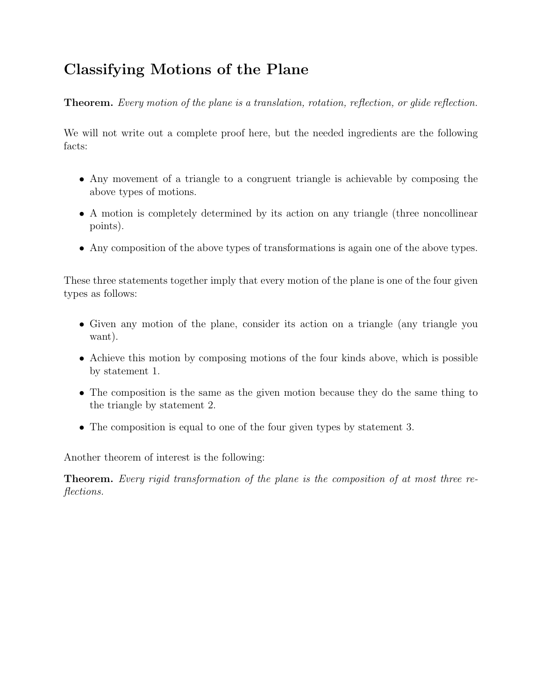# Classifying Motions of the Plane

Theorem. Every motion of the plane is a translation, rotation, reflection, or glide reflection.

We will not write out a complete proof here, but the needed ingredients are the following facts:

- Any movement of a triangle to a congruent triangle is achievable by composing the above types of motions.
- A motion is completely determined by its action on any triangle (three noncollinear points).
- Any composition of the above types of transformations is again one of the above types.

These three statements together imply that every motion of the plane is one of the four given types as follows:

- Given any motion of the plane, consider its action on a triangle (any triangle you want).
- Achieve this motion by composing motions of the four kinds above, which is possible by statement 1.
- The composition is the same as the given motion because they do the same thing to the triangle by statement 2.
- The composition is equal to one of the four given types by statement 3.

Another theorem of interest is the following:

Theorem. Every rigid transformation of the plane is the composition of at most three reflections.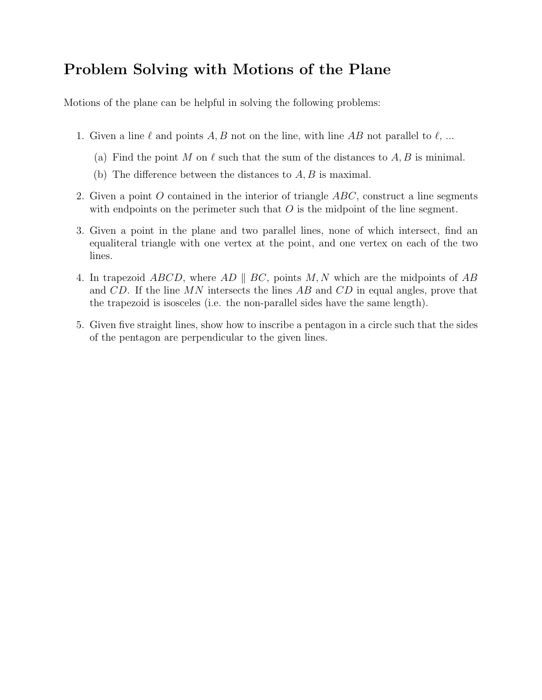# Problem Solving with Motions of the Plane

Motions of the plane can be helpful in solving the following problems:

- 1. Given a line  $\ell$  and points A, B not on the line, with line AB not parallel to  $\ell$ , ...
	- (a) Find the point M on  $\ell$  such that the sum of the distances to A, B is minimal.
	- (b) The difference between the distances to  $A, B$  is maximal.
- 2. Given a point O contained in the interior of triangle  $ABC$ , construct a line segments with endpoints on the perimeter such that  $O$  is the midpoint of the line segment.
- 3. Given a point in the plane and two parallel lines, none of which intersect, find an equaliteral triangle with one vertex at the point, and one vertex on each of the two lines.
- 4. In trapezoid ABCD, where AD  $||$  BC, points M, N which are the midpoints of AB and  $CD$ . If the line MN intersects the lines AB and  $CD$  in equal angles, prove that the trapezoid is isosceles (i.e. the non-parallel sides have the same length).
- 5. Given five straight lines, show how to inscribe a pentagon in a circle such that the sides of the pentagon are perpendicular to the given lines.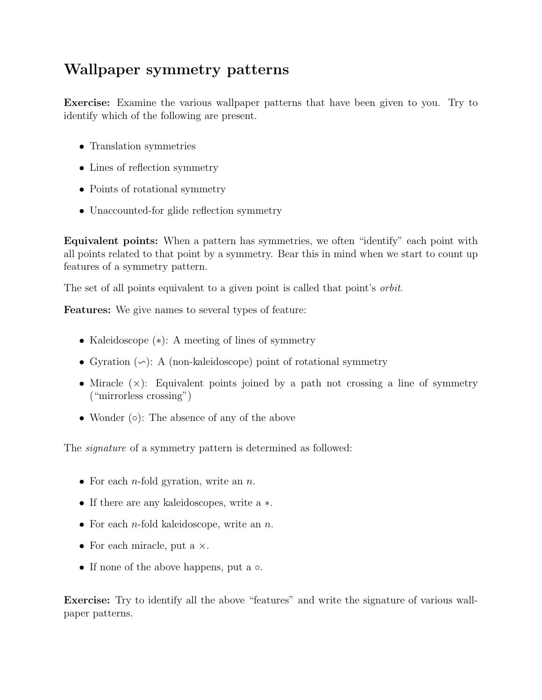# Wallpaper symmetry patterns

Exercise: Examine the various wallpaper patterns that have been given to you. Try to identify which of the following are present.

- Translation symmetries
- Lines of reflection symmetry
- Points of rotational symmetry
- Unaccounted-for glide reflection symmetry

Equivalent points: When a pattern has symmetries, we often "identify" each point with all points related to that point by a symmetry. Bear this in mind when we start to count up features of a symmetry pattern.

The set of all points equivalent to a given point is called that point's orbit.

Features: We give names to several types of feature:

- Kaleidoscope (∗): A meeting of lines of symmetry
- Gyration  $(\neg)$ : A (non-kaleidoscope) point of rotational symmetry
- Miracle  $(x)$ : Equivalent points joined by a path not crossing a line of symmetry ("mirrorless crossing")
- Wonder (○): The absence of any of the above

The *signature* of a symmetry pattern is determined as followed:

- For each *n*-fold gyration, write an *n*.
- If there are any kaleidoscopes, write a ∗.
- For each *n*-fold kaleidoscope, write an *n*.
- For each miracle, put a  $\times$ .
- If none of the above happens, put a  $\circ$ .

Exercise: Try to identify all the above "features" and write the signature of various wallpaper patterns.